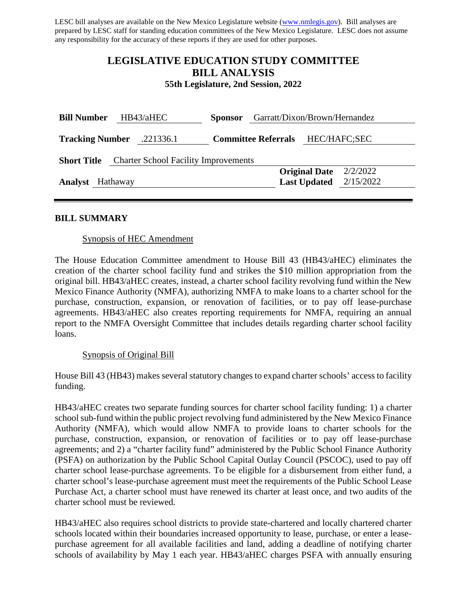LESC bill analyses are available on the New Mexico Legislature website [\(www.nmlegis.gov\)](http://www.nmlegis.gov/). Bill analyses are prepared by LESC staff for standing education committees of the New Mexico Legislature. LESC does not assume any responsibility for the accuracy of these reports if they are used for other purposes.

## **LEGISLATIVE EDUCATION STUDY COMMITTEE BILL ANALYSIS**

**55th Legislature, 2nd Session, 2022**

| HB43/aHEC<br><b>Bill Number</b>                                   |           | <b>Sponsor</b>             | Garratt/Dixon/Brown/Hernandez |                      |           |  |
|-------------------------------------------------------------------|-----------|----------------------------|-------------------------------|----------------------|-----------|--|
| <b>Tracking Number</b>                                            | .221336.1 | <b>Committee Referrals</b> |                               | HEC/HAFC;SEC         |           |  |
| <b>Charter School Facility Improvements</b><br><b>Short Title</b> |           |                            |                               |                      |           |  |
|                                                                   |           |                            |                               | <b>Original Date</b> | 2/2/2022  |  |
| <b>Analyst</b>                                                    | Hathaway  |                            |                               | <b>Last Updated</b>  | 2/15/2022 |  |
|                                                                   |           |                            |                               |                      |           |  |

### **BILL SUMMARY**

### Synopsis of HEC Amendment

The House Education Committee amendment to House Bill 43 (HB43/aHEC) eliminates the creation of the charter school facility fund and strikes the \$10 million appropriation from the original bill. HB43/aHEC creates, instead, a charter school facility revolving fund within the New Mexico Finance Authority (NMFA), authorizing NMFA to make loans to a charter school for the purchase, construction, expansion, or renovation of facilities, or to pay off lease-purchase agreements. HB43/aHEC also creates reporting requirements for NMFA, requiring an annual report to the NMFA Oversight Committee that includes details regarding charter school facility loans.

### Synopsis of Original Bill

House Bill 43 (HB43) makes several statutory changes to expand charter schools' access to facility funding.

HB43/aHEC creates two separate funding sources for charter school facility funding: 1) a charter school sub-fund within the public project revolving fund administered by the New Mexico Finance Authority (NMFA), which would allow NMFA to provide loans to charter schools for the purchase, construction, expansion, or renovation of facilities or to pay off lease-purchase agreements; and 2) a "charter facility fund" administered by the Public School Finance Authority (PSFA) on authorization by the Public School Capital Outlay Council (PSCOC), used to pay off charter school lease-purchase agreements. To be eligible for a disbursement from either fund, a charter school's lease-purchase agreement must meet the requirements of the Public School Lease Purchase Act, a charter school must have renewed its charter at least once, and two audits of the charter school must be reviewed.

HB43/aHEC also requires school districts to provide state-chartered and locally chartered charter schools located within their boundaries increased opportunity to lease, purchase, or enter a leasepurchase agreement for all available facilities and land, adding a deadline of notifying charter schools of availability by May 1 each year. HB43/aHEC charges PSFA with annually ensuring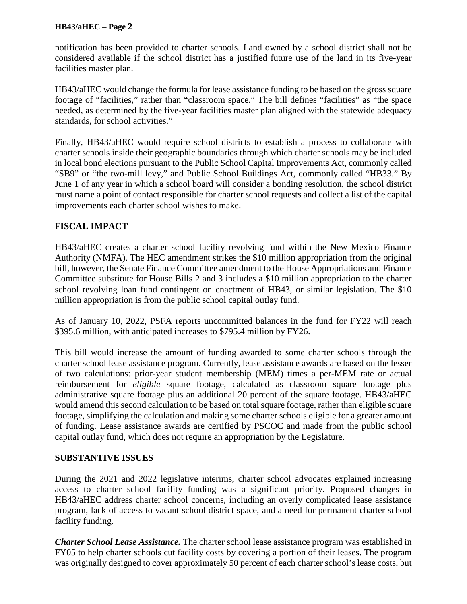notification has been provided to charter schools. Land owned by a school district shall not be considered available if the school district has a justified future use of the land in its five-year facilities master plan.

HB43/aHEC would change the formula for lease assistance funding to be based on the gross square footage of "facilities," rather than "classroom space." The bill defines "facilities" as "the space needed, as determined by the five-year facilities master plan aligned with the statewide adequacy standards, for school activities."

Finally, HB43/aHEC would require school districts to establish a process to collaborate with charter schools inside their geographic boundaries through which charter schools may be included in local bond elections pursuant to the Public School Capital Improvements Act, commonly called "SB9" or "the two-mill levy," and Public School Buildings Act, commonly called "HB33." By June 1 of any year in which a school board will consider a bonding resolution, the school district must name a point of contact responsible for charter school requests and collect a list of the capital improvements each charter school wishes to make.

## **FISCAL IMPACT**

HB43/aHEC creates a charter school facility revolving fund within the New Mexico Finance Authority (NMFA). The HEC amendment strikes the \$10 million appropriation from the original bill, however, the Senate Finance Committee amendment to the House Appropriations and Finance Committee substitute for House Bills 2 and 3 includes a \$10 million appropriation to the charter school revolving loan fund contingent on enactment of HB43, or similar legislation. The \$10 million appropriation is from the public school capital outlay fund.

As of January 10, 2022, PSFA reports uncommitted balances in the fund for FY22 will reach \$395.6 million, with anticipated increases to \$795.4 million by FY26.

This bill would increase the amount of funding awarded to some charter schools through the charter school lease assistance program. Currently, lease assistance awards are based on the lesser of two calculations: prior-year student membership (MEM) times a per-MEM rate or actual reimbursement for *eligible* square footage, calculated as classroom square footage plus administrative square footage plus an additional 20 percent of the square footage. HB43/aHEC would amend this second calculation to be based on total square footage, rather than eligible square footage, simplifying the calculation and making some charter schools eligible for a greater amount of funding. Lease assistance awards are certified by PSCOC and made from the public school capital outlay fund, which does not require an appropriation by the Legislature.

## **SUBSTANTIVE ISSUES**

During the 2021 and 2022 legislative interims, charter school advocates explained increasing access to charter school facility funding was a significant priority. Proposed changes in HB43/aHEC address charter school concerns, including an overly complicated lease assistance program, lack of access to vacant school district space, and a need for permanent charter school facility funding.

*Charter School Lease Assistance.* The charter school lease assistance program was established in FY05 to help charter schools cut facility costs by covering a portion of their leases. The program was originally designed to cover approximately 50 percent of each charter school's lease costs, but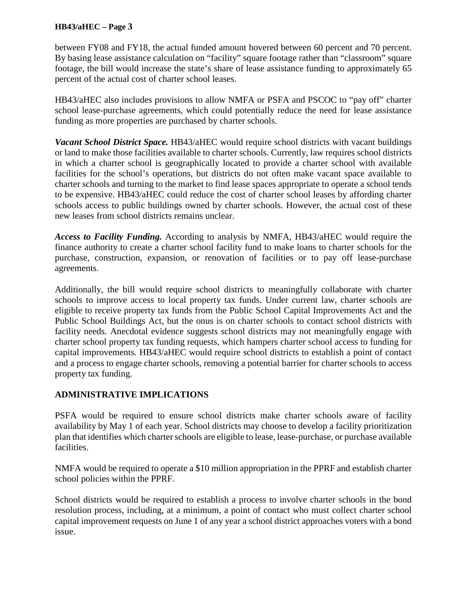between FY08 and FY18, the actual funded amount hovered between 60 percent and 70 percent. By basing lease assistance calculation on "facility" square footage rather than "classroom" square footage, the bill would increase the state's share of lease assistance funding to approximately 65 percent of the actual cost of charter school leases.

HB43/aHEC also includes provisions to allow NMFA or PSFA and PSCOC to "pay off" charter school lease-purchase agreements, which could potentially reduce the need for lease assistance funding as more properties are purchased by charter schools.

*Vacant School District Space.* HB43/aHEC would require school districts with vacant buildings or land to make those facilities available to charter schools. Currently, law requires school districts in which a charter school is geographically located to provide a charter school with available facilities for the school's operations, but districts do not often make vacant space available to charter schools and turning to the market to find lease spaces appropriate to operate a school tends to be expensive. HB43/aHEC could reduce the cost of charter school leases by affording charter schools access to public buildings owned by charter schools. However, the actual cost of these new leases from school districts remains unclear.

*Access to Facility Funding.* According to analysis by NMFA, HB43/aHEC would require the finance authority to create a charter school facility fund to make loans to charter schools for the purchase, construction, expansion, or renovation of facilities or to pay off lease-purchase agreements.

Additionally, the bill would require school districts to meaningfully collaborate with charter schools to improve access to local property tax funds. Under current law, charter schools are eligible to receive property tax funds from the Public School Capital Improvements Act and the Public School Buildings Act, but the onus is on charter schools to contact school districts with facility needs. Anecdotal evidence suggests school districts may not meaningfully engage with charter school property tax funding requests, which hampers charter school access to funding for capital improvements. HB43/aHEC would require school districts to establish a point of contact and a process to engage charter schools, removing a potential barrier for charter schools to access property tax funding.

## **ADMINISTRATIVE IMPLICATIONS**

PSFA would be required to ensure school districts make charter schools aware of facility availability by May 1 of each year. School districts may choose to develop a facility prioritization plan that identifies which charter schools are eligible to lease, lease-purchase, or purchase available facilities.

NMFA would be required to operate a \$10 million appropriation in the PPRF and establish charter school policies within the PPRF.

School districts would be required to establish a process to involve charter schools in the bond resolution process, including, at a minimum, a point of contact who must collect charter school capital improvement requests on June 1 of any year a school district approaches voters with a bond issue.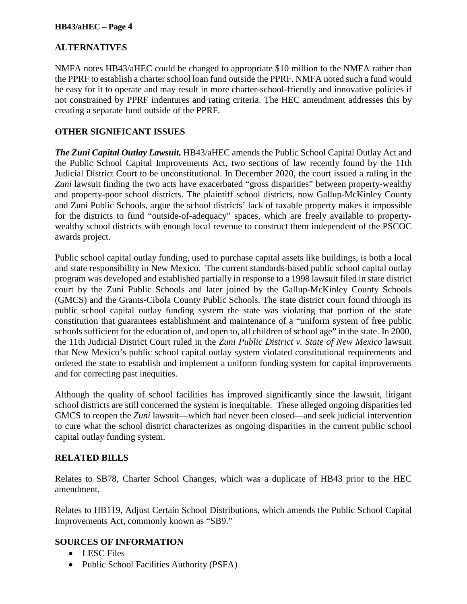## **ALTERNATIVES**

NMFA notes HB43/aHEC could be changed to appropriate \$10 million to the NMFA rather than the PPRF to establish a charter school loan fund outside the PPRF. NMFA noted such a fund would be easy for it to operate and may result in more charter-school-friendly and innovative policies if not constrained by PPRF indentures and rating criteria. The HEC amendment addresses this by creating a separate fund outside of the PPRF.

## **OTHER SIGNIFICANT ISSUES**

*The Zuni Capital Outlay Lawsuit.* HB43/aHEC amends the Public School Capital Outlay Act and the Public School Capital Improvements Act, two sections of law recently found by the 11th Judicial District Court to be unconstitutional. In December 2020, the court issued a ruling in the *Zuni* lawsuit finding the two acts have exacerbated "gross disparities" between property-wealthy and property-poor school districts. The plaintiff school districts, now Gallup-McKinley County and Zuni Public Schools, argue the school districts' lack of taxable property makes it impossible for the districts to fund "outside-of-adequacy" spaces, which are freely available to propertywealthy school districts with enough local revenue to construct them independent of the PSCOC awards project.

Public school capital outlay funding, used to purchase capital assets like buildings, is both a local and state responsibility in New Mexico. The current standards-based public school capital outlay program was developed and established partially in response to a 1998 lawsuit filed in state district court by the Zuni Public Schools and later joined by the Gallup-McKinley County Schools (GMCS) and the Grants-Cibola County Public Schools. The state district court found through its public school capital outlay funding system the state was violating that portion of the state constitution that guarantees establishment and maintenance of a "uniform system of free public schools sufficient for the education of, and open to, all children of school age" in the state. In 2000, the 11th Judicial District Court ruled in the *Zuni Public District v. State of New Mexico* lawsuit that New Mexico's public school capital outlay system violated constitutional requirements and ordered the state to establish and implement a uniform funding system for capital improvements and for correcting past inequities.

Although the quality of school facilities has improved significantly since the lawsuit, litigant school districts are still concerned the system is inequitable. These alleged ongoing disparities led GMCS to reopen the *Zuni* lawsuit—which had never been closed—and seek judicial intervention to cure what the school district characterizes as ongoing disparities in the current public school capital outlay funding system.

### **RELATED BILLS**

Relates to SB78, Charter School Changes, which was a duplicate of HB43 prior to the HEC amendment.

Relates to HB119, Adjust Certain School Distributions, which amends the Public School Capital Improvements Act, commonly known as "SB9."

### **SOURCES OF INFORMATION**

- LESC Files
- Public School Facilities Authority (PSFA)